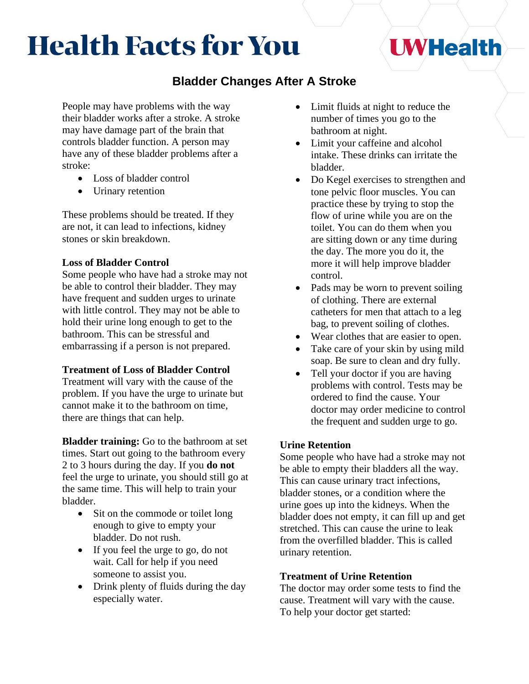# **Health Facts for You**

## **Bladder Changes After A Stroke**

People may have problems with the way their bladder works after a stroke. A stroke may have damage part of the brain that controls bladder function. A person may have any of these bladder problems after a stroke:

- Loss of bladder control
- Urinary retention

These problems should be treated. If they are not, it can lead to infections, kidney stones or skin breakdown.

### **Loss of Bladder Control**

Some people who have had a stroke may not be able to control their bladder. They may have frequent and sudden urges to urinate with little control. They may not be able to hold their urine long enough to get to the bathroom. This can be stressful and embarrassing if a person is not prepared.

#### **Treatment of Loss of Bladder Control**

Treatment will vary with the cause of the problem. If you have the urge to urinate but cannot make it to the bathroom on time, there are things that can help.

**Bladder training:** Go to the bathroom at set times. Start out going to the bathroom every 2 to 3 hours during the day. If you **do not**  feel the urge to urinate, you should still go at the same time. This will help to train your bladder.

- Sit on the commode or toilet long enough to give to empty your bladder. Do not rush.
- If you feel the urge to go, do not wait. Call for help if you need someone to assist you.
- Drink plenty of fluids during the day especially water.

Limit fluids at night to reduce the number of times you go to the bathroom at night.

**UWHealth** 

- Limit your caffeine and alcohol intake. These drinks can irritate the bladder.
- Do Kegel exercises to strengthen and tone pelvic floor muscles. You can practice these by trying to stop the flow of urine while you are on the toilet. You can do them when you are sitting down or any time during the day. The more you do it, the more it will help improve bladder control.
- Pads may be worn to prevent soiling of clothing. There are external catheters for men that attach to a leg bag, to prevent soiling of clothes.
- Wear clothes that are easier to open.
- Take care of your skin by using mild soap. Be sure to clean and dry fully.
- Tell your doctor if you are having problems with control. Tests may be ordered to find the cause. Your doctor may order medicine to control the frequent and sudden urge to go.

#### **Urine Retention**

Some people who have had a stroke may not be able to empty their bladders all the way. This can cause urinary tract infections, bladder stones, or a condition where the urine goes up into the kidneys. When the bladder does not empty, it can fill up and get stretched. This can cause the urine to leak from the overfilled bladder. This is called urinary retention.

#### **Treatment of Urine Retention**

The doctor may order some tests to find the cause. Treatment will vary with the cause. To help your doctor get started: